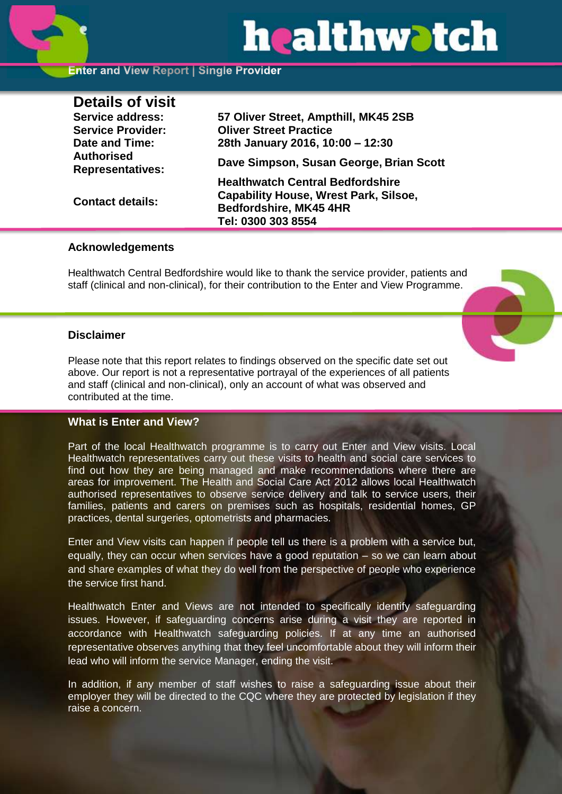# healthwatch

# **Enter and View Report | Single Provider**

| <b>Details of visit</b>                      |                                              |
|----------------------------------------------|----------------------------------------------|
| <b>Service address:</b>                      | 57 Oliver Street, Ampthill, MK45 2SB         |
| <b>Service Provider:</b>                     | <b>Oliver Street Practice</b>                |
| Date and Time:                               | 28th January 2016, 10:00 - 12:30             |
| <b>Authorised</b><br><b>Representatives:</b> | Dave Simpson, Susan George, Brian Scott      |
|                                              | <b>Healthwatch Central Bedfordshire</b>      |
| <b>Contact details:</b>                      | <b>Capability House, Wrest Park, Silsoe,</b> |
|                                              | Bedfordshire, MK45 4HR                       |
|                                              | Tel: 0300 303 8554                           |

#### **Acknowledgements**

Healthwatch Central Bedfordshire would like to thank the service provider, patients and staff (clinical and non-clinical), for their contribution to the Enter and View Programme.

# **Disclaimer**

Please note that this report relates to findings observed on the specific date set out above. Our report is not a representative portrayal of the experiences of all patients and staff (clinical and non-clinical), only an account of what was observed and contributed at the time.

# **What is Enter and View?**

Part of the local Healthwatch programme is to carry out Enter and View visits. Local Healthwatch representatives carry out these visits to health and social care services to find out how they are being managed and make recommendations where there are areas for improvement. The Health and Social Care Act 2012 allows local Healthwatch authorised representatives to observe service delivery and talk to service users, their families, patients and carers on premises such as hospitals, residential homes, GP practices, dental surgeries, optometrists and pharmacies.

Enter and View visits can happen if people tell us there is a problem with a service but, equally, they can occur when services have a good reputation – so we can learn about and share examples of what they do well from the perspective of people who experience the service first hand.

Healthwatch Enter and Views are not intended to specifically identify safeguarding issues. However, if safeguarding concerns arise during a visit they are reported in accordance with Healthwatch safeguarding policies. If at any time an authorised representative observes anything that they feel uncomfortable about they will inform their lead who will inform the service Manager, ending the visit.

In addition, if any member of staff wishes to raise a safeguarding issue about their employer they will be directed to the CQC where they are protected by legislation if they raise a concern.

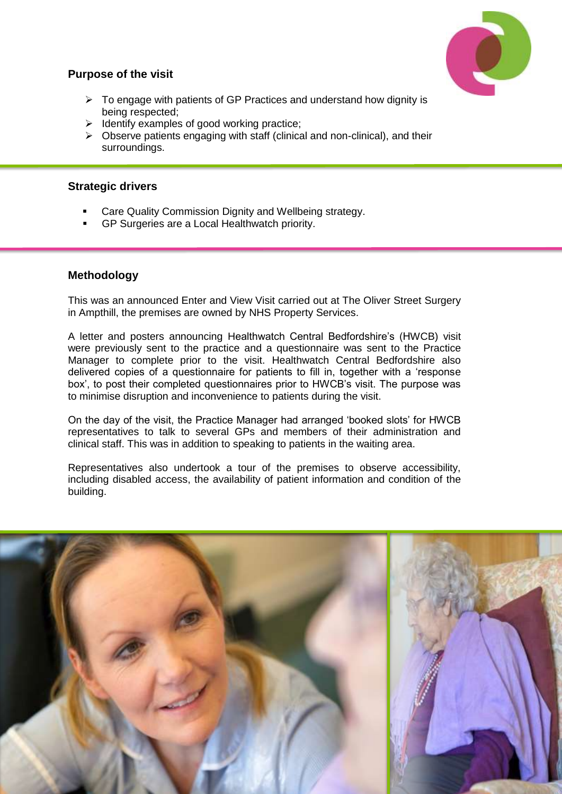

# **Purpose of the visit**

- $\triangleright$  To engage with patients of GP Practices and understand how dignity is being respected;
- $\triangleright$  Identify examples of good working practice;
- $\triangleright$  Observe patients engaging with staff (clinical and non-clinical), and their surroundings.

# **Strategic drivers**

- Care Quality Commission Dignity and Wellbeing strategy.
- GP Surgeries are a Local Healthwatch priority.

# **Methodology**

This was an announced Enter and View Visit carried out at The Oliver Street Surgery in Ampthill, the premises are owned by NHS Property Services.

A letter and posters announcing Healthwatch Central Bedfordshire's (HWCB) visit were previously sent to the practice and a questionnaire was sent to the Practice Manager to complete prior to the visit. Healthwatch Central Bedfordshire also delivered copies of a questionnaire for patients to fill in, together with a 'response box', to post their completed questionnaires prior to HWCB's visit. The purpose was to minimise disruption and inconvenience to patients during the visit.

On the day of the visit, the Practice Manager had arranged 'booked slots' for HWCB representatives to talk to several GPs and members of their administration and clinical staff. This was in addition to speaking to patients in the waiting area.

Representatives also undertook a tour of the premises to observe accessibility, including disabled access, the availability of patient information and condition of the building.

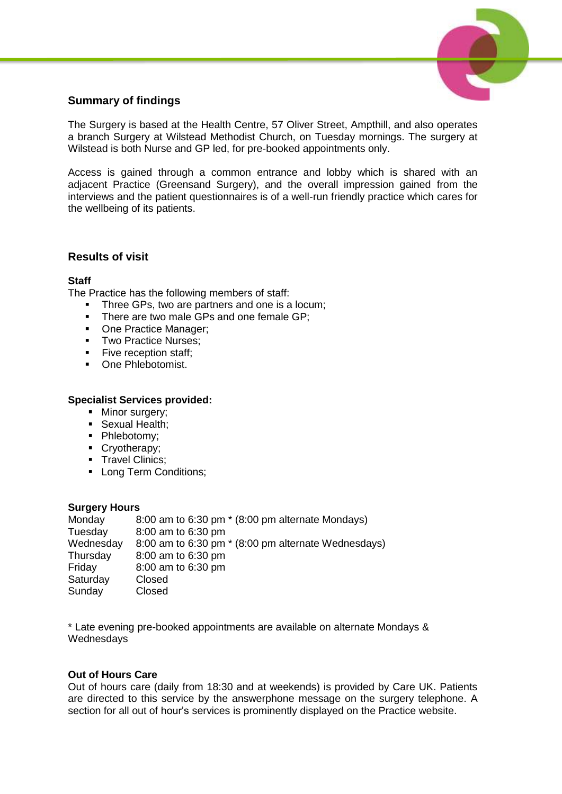

# **Summary of findings**

The Surgery is based at the Health Centre, 57 Oliver Street, Ampthill, and also operates a branch Surgery at Wilstead Methodist Church, on Tuesday mornings. The surgery at Wilstead is both Nurse and GP led, for pre-booked appointments only.

Access is gained through a common entrance and lobby which is shared with an adjacent Practice (Greensand Surgery), and the overall impression gained from the interviews and the patient questionnaires is of a well-run friendly practice which cares for the wellbeing of its patients.

# **Results of visit**

#### **Staff**

The Practice has the following members of staff:

- Three GPs, two are partners and one is a locum:
- There are two male GPs and one female GP;
- One Practice Manager;
- **Two Practice Nurses;**
- Five reception staff:
- **•** One Phlebotomist.

#### **Specialist Services provided:**

- Minor surgery:
- **Sexual Health;**
- Phlebotomy;
- Cryotherapy;
- **Travel Clinics:**
- Long Term Conditions;

#### **Surgery Hours**

Monday 8:00 am to 6:30 pm \* (8:00 pm alternate Mondays) Tuesday 8:00 am to 6:30 pm Wednesday 8:00 am to 6:30 pm \* (8:00 pm alternate Wednesdays) Thursday 8:00 am to 6:30 pm Friday 8:00 am to 6:30 pm Saturday Closed Sunday Closed

\* Late evening pre-booked appointments are available on alternate Mondays & **Wednesdays** 

# **Out of Hours Care**

Out of hours care (daily from 18:30 and at weekends) is provided by Care UK. Patients are directed to this service by the answerphone message on the surgery telephone. A section for all out of hour's services is prominently displayed on the Practice website.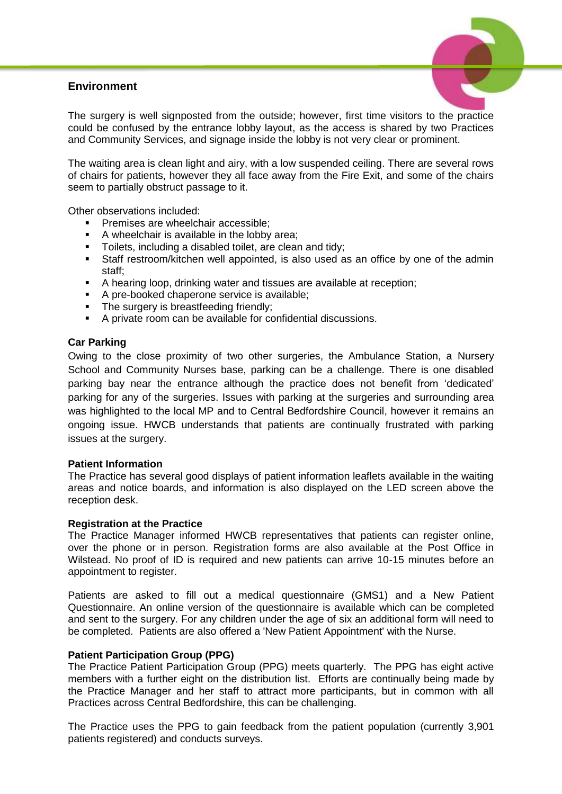# **Environment**



The surgery is well signposted from the outside; however, first time visitors to the practice could be confused by the entrance lobby layout, as the access is shared by two Practices and Community Services, and signage inside the lobby is not very clear or prominent.

The waiting area is clean light and airy, with a low suspended ceiling. There are several rows of chairs for patients, however they all face away from the Fire Exit, and some of the chairs seem to partially obstruct passage to it.

Other observations included:

- Premises are wheelchair accessible;
- A wheelchair is available in the lobby area;
- Toilets, including a disabled toilet, are clean and tidy;
- Staff restroom/kitchen well appointed, is also used as an office by one of the admin staff;
- A hearing loop, drinking water and tissues are available at reception;
- A pre-booked chaperone service is available;
- The surgery is breastfeeding friendly:
- A private room can be available for confidential discussions.

#### **Car Parking**

Owing to the close proximity of two other surgeries, the Ambulance Station, a Nursery School and Community Nurses base, parking can be a challenge. There is one disabled parking bay near the entrance although the practice does not benefit from 'dedicated' parking for any of the surgeries. Issues with parking at the surgeries and surrounding area was highlighted to the local MP and to Central Bedfordshire Council, however it remains an ongoing issue. HWCB understands that patients are continually frustrated with parking issues at the surgery.

#### **Patient Information**

The Practice has several good displays of patient information leaflets available in the waiting areas and notice boards, and information is also displayed on the LED screen above the reception desk.

#### **Registration at the Practice**

The Practice Manager informed HWCB representatives that patients can register online, over the phone or in person. Registration forms are also available at the Post Office in Wilstead. No proof of ID is required and new patients can arrive 10-15 minutes before an appointment to register.

Patients are asked to fill out a medical questionnaire (GMS1) and a New Patient Questionnaire. An online version of the questionnaire is available which can be completed and sent to the surgery. For any children under the age of six an additional form will need to be completed. Patients are also offered a 'New Patient Appointment' with the Nurse.

#### **Patient Participation Group (PPG)**

The Practice Patient Participation Group (PPG) meets quarterly. The PPG has eight active members with a further eight on the distribution list. Efforts are continually being made by the Practice Manager and her staff to attract more participants, but in common with all Practices across Central Bedfordshire, this can be challenging.

The Practice uses the PPG to gain feedback from the patient population (currently 3,901 patients registered) and conducts surveys.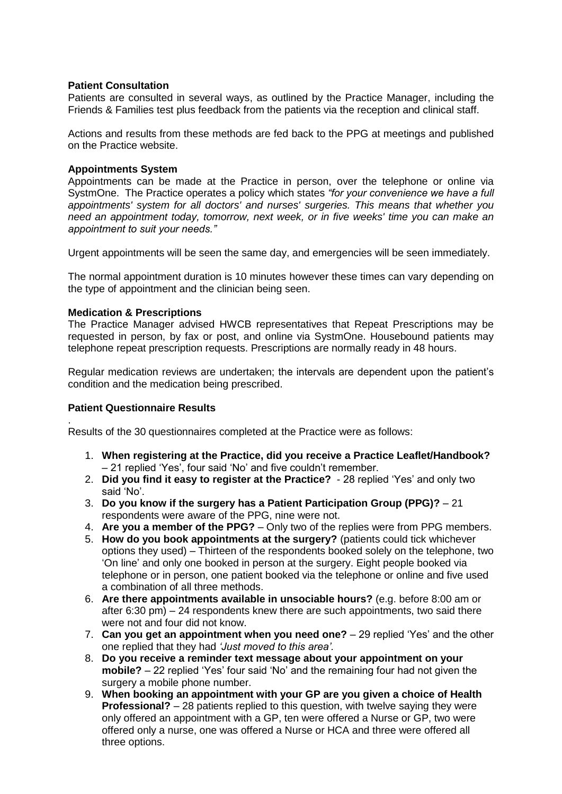#### **Patient Consultation**

Patients are consulted in several ways, as outlined by the Practice Manager, including the Friends & Families test plus feedback from the patients via the reception and clinical staff.

Actions and results from these methods are fed back to the PPG at meetings and published on the Practice website.

#### **Appointments System**

Appointments can be made at the Practice in person, over the telephone or online via SystmOne. The Practice operates a policy which states *"for your convenience we have a full appointments' system for all doctors' and nurses' surgeries. This means that whether you need an appointment today, tomorrow, next week, or in five weeks' time you can make an appointment to suit your needs."*

Urgent appointments will be seen the same day, and emergencies will be seen immediately.

The normal appointment duration is 10 minutes however these times can vary depending on the type of appointment and the clinician being seen.

#### **Medication & Prescriptions**

The Practice Manager advised HWCB representatives that Repeat Prescriptions may be requested in person, by fax or post, and online via SystmOne. Housebound patients may telephone repeat prescription requests. Prescriptions are normally ready in 48 hours.

Regular medication reviews are undertaken; the intervals are dependent upon the patient's condition and the medication being prescribed.

#### **Patient Questionnaire Results**

.

Results of the 30 questionnaires completed at the Practice were as follows:

- 1. **When registering at the Practice, did you receive a Practice Leaflet/Handbook?** – 21 replied 'Yes', four said 'No' and five couldn't remember.
- 2. **Did you find it easy to register at the Practice?** 28 replied 'Yes' and only two said 'No'.
- 3. **Do you know if the surgery has a Patient Participation Group (PPG)?** 21 respondents were aware of the PPG, nine were not.
- 4. **Are you a member of the PPG?** Only two of the replies were from PPG members.
- 5. **How do you book appointments at the surgery?** (patients could tick whichever options they used) – Thirteen of the respondents booked solely on the telephone, two 'On line' and only one booked in person at the surgery. Eight people booked via telephone or in person, one patient booked via the telephone or online and five used a combination of all three methods.
- 6. **Are there appointments available in unsociable hours?** (e.g. before 8:00 am or after 6:30 pm) – 24 respondents knew there are such appointments, two said there were not and four did not know.
- 7. **Can you get an appointment when you need one?** 29 replied 'Yes' and the other one replied that they had *'Just moved to this area'.*
- 8. **Do you receive a reminder text message about your appointment on your mobile?** – 22 replied 'Yes' four said 'No' and the remaining four had not given the surgery a mobile phone number.
- 9. **When booking an appointment with your GP are you given a choice of Health Professional?** – 28 patients replied to this question, with twelve saying they were only offered an appointment with a GP, ten were offered a Nurse or GP, two were offered only a nurse, one was offered a Nurse or HCA and three were offered all three options.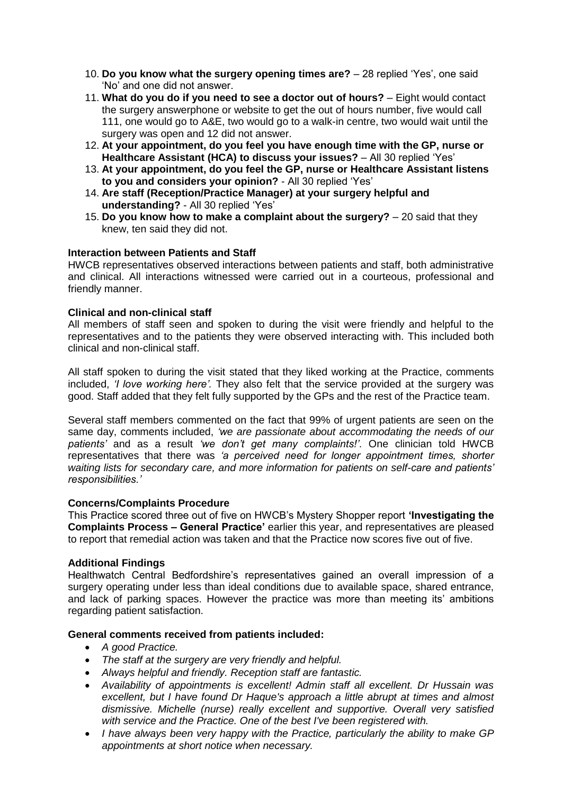- 10. **Do you know what the surgery opening times are?** 28 replied 'Yes', one said 'No' and one did not answer.
- 11. **What do you do if you need to see a doctor out of hours?** Eight would contact the surgery answerphone or website to get the out of hours number, five would call 111, one would go to A&E, two would go to a walk-in centre, two would wait until the surgery was open and 12 did not answer.
- 12. **At your appointment, do you feel you have enough time with the GP, nurse or Healthcare Assistant (HCA) to discuss your issues?** – All 30 replied 'Yes'
- 13. **At your appointment, do you feel the GP, nurse or Healthcare Assistant listens to you and considers your opinion?** - All 30 replied 'Yes'
- 14. **Are staff (Reception/Practice Manager) at your surgery helpful and understanding?** - All 30 replied 'Yes'
- 15. **Do you know how to make a complaint about the surgery?** 20 said that they knew, ten said they did not.

# **Interaction between Patients and Staff**

HWCB representatives observed interactions between patients and staff, both administrative and clinical. All interactions witnessed were carried out in a courteous, professional and friendly manner.

#### **Clinical and non-clinical staff**

All members of staff seen and spoken to during the visit were friendly and helpful to the representatives and to the patients they were observed interacting with. This included both clinical and non-clinical staff.

All staff spoken to during the visit stated that they liked working at the Practice, comments included, *'I love working here'.* They also felt that the service provided at the surgery was good. Staff added that they felt fully supported by the GPs and the rest of the Practice team.

Several staff members commented on the fact that 99% of urgent patients are seen on the same day, comments included, *'we are passionate about accommodating the needs of our patients'* and as a result *'we don't get many complaints!'*. One clinician told HWCB representatives that there was *'a perceived need for longer appointment times, shorter waiting lists for secondary care, and more information for patients on self-care and patients' responsibilities.'*

#### **Concerns/Complaints Procedure**

This Practice scored three out of five on HWCB's Mystery Shopper report **'Investigating the Complaints Process – General Practice'** earlier this year, and representatives are pleased to report that remedial action was taken and that the Practice now scores five out of five.

#### **Additional Findings**

Healthwatch Central Bedfordshire's representatives gained an overall impression of a surgery operating under less than ideal conditions due to available space, shared entrance, and lack of parking spaces. However the practice was more than meeting its' ambitions regarding patient satisfaction.

#### **General comments received from patients included:**

- *A good Practice.*
- *The staff at the surgery are very friendly and helpful.*
- *Always helpful and friendly. Reception staff are fantastic.*
- *Availability of appointments is excellent! Admin staff all excellent. Dr Hussain was excellent, but I have found Dr Haque's approach a little abrupt at times and almost dismissive. Michelle (nurse) really excellent and supportive. Overall very satisfied with service and the Practice. One of the best I've been registered with.*
- *I have always been very happy with the Practice, particularly the ability to make GP appointments at short notice when necessary.*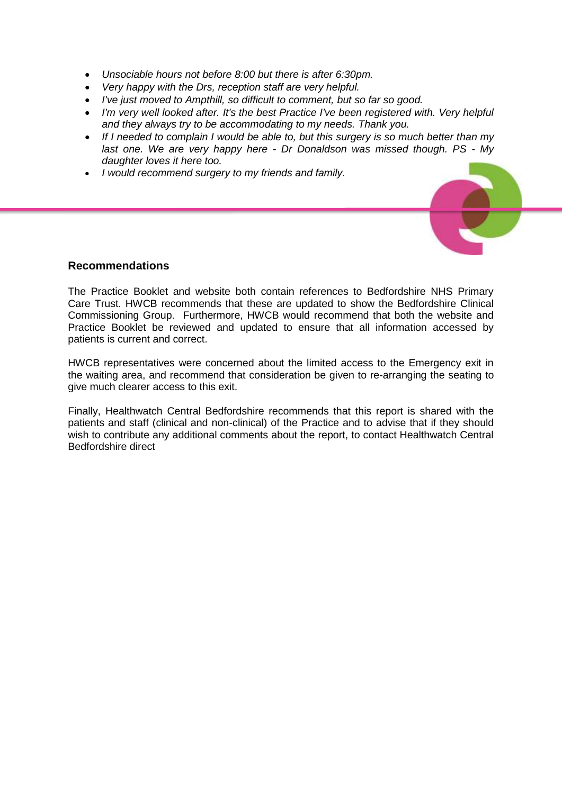- *Unsociable hours not before 8:00 but there is after 6:30pm.*
- *Very happy with the Drs, reception staff are very helpful.*
- *I've just moved to Ampthill, so difficult to comment, but so far so good.*
- I'm very well looked after. It's the best Practice I've been registered with. Very helpful *and they always try to be accommodating to my needs. Thank you.*
- *If I needed to complain I would be able to, but this surgery is so much better than my last one. We are very happy here - Dr Donaldson was missed though. PS - My daughter loves it here too.*
- *I would recommend surgery to my friends and family.*

#### **Recommendations**

The Practice Booklet and website both contain references to Bedfordshire NHS Primary Care Trust. HWCB recommends that these are updated to show the Bedfordshire Clinical Commissioning Group. Furthermore, HWCB would recommend that both the website and Practice Booklet be reviewed and updated to ensure that all information accessed by patients is current and correct.

HWCB representatives were concerned about the limited access to the Emergency exit in the waiting area, and recommend that consideration be given to re-arranging the seating to give much clearer access to this exit.

Finally, Healthwatch Central Bedfordshire recommends that this report is shared with the patients and staff (clinical and non-clinical) of the Practice and to advise that if they should wish to contribute any additional comments about the report, to contact Healthwatch Central Bedfordshire direct